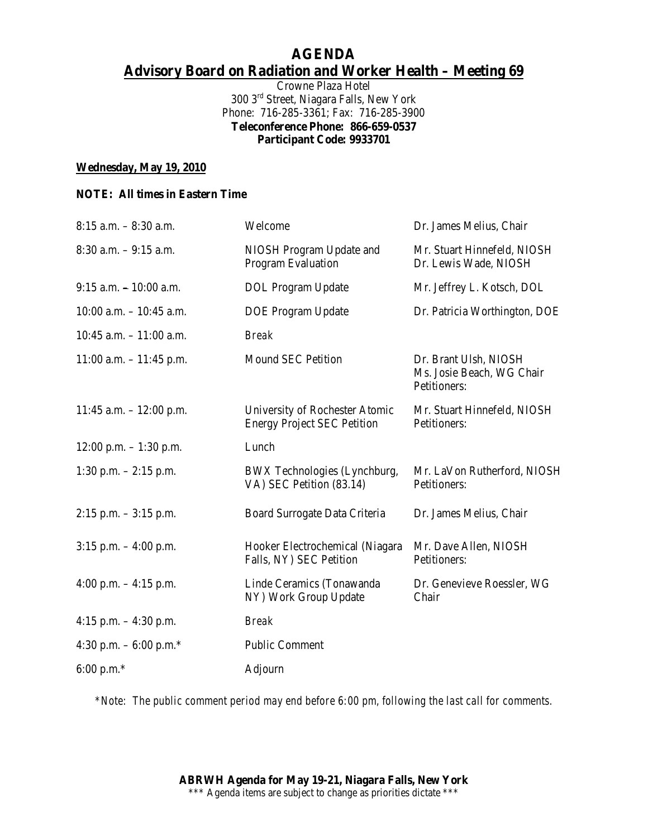# **AGENDA Advisory Board on Radiation and Worker Health – Meeting 69**

Crowne Plaza Hotel 300 3rd Street, Niagara Falls, New York Phone: 716-285-3361; Fax: 716-285-3900 **Teleconference Phone: 866-659-0537 Participant Code: 9933701**

### **Wednesday, May 19, 2010**

### **NOTE: All times in Eastern Time**

| 8:15 a.m. - 8:30 a.m.               | Welcome                                                              | Dr. James Melius, Chair                                            |
|-------------------------------------|----------------------------------------------------------------------|--------------------------------------------------------------------|
| $8:30$ a.m. $-9:15$ a.m.            | NIOSH Program Update and<br>Program Evaluation                       | Mr. Stuart Hinnefeld, NIOSH<br>Dr. Lewis Wade, NIOSH               |
| $9:15$ a.m. $-10:00$ a.m.           | <b>DOL</b> Program Update                                            | Mr. Jeffrey L. Kotsch, DOL                                         |
| $10:00$ a.m. $- 10:45$ a.m.         | <b>DOE</b> Program Update                                            | Dr. Patricia Worthington, DOE                                      |
| $10:45$ a.m. $-11:00$ a.m.          | <b>Break</b>                                                         |                                                                    |
| $11:00$ a.m. $-11:45$ p.m.          | <b>Mound SEC Petition</b>                                            | Dr. Brant Ulsh, NIOSH<br>Ms. Josie Beach, WG Chair<br>Petitioners: |
| $11:45$ a.m. $-12:00$ p.m.          | University of Rochester Atomic<br><b>Energy Project SEC Petition</b> | Mr. Stuart Hinnefeld, NIOSH<br>Petitioners:                        |
| $12:00$ p.m. $-1:30$ p.m.           | Lunch                                                                |                                                                    |
| $1:30$ p.m. $-2:15$ p.m.            | BWX Technologies (Lynchburg,<br>VA) SEC Petition (83.14)             | Mr. LaVon Rutherford, NIOSH<br>Petitioners:                        |
| $2:15$ p.m. $-3:15$ p.m.            | Board Surrogate Data Criteria                                        | Dr. James Melius, Chair                                            |
| $3:15$ p.m. $-4:00$ p.m.            | Hooker Electrochemical (Niagara<br>Falls, NY) SEC Petition           | Mr. Dave Allen, NIOSH<br>Petitioners:                              |
| 4:00 p.m. $-4:15$ p.m.              | Linde Ceramics (Tonawanda<br>NY) Work Group Update                   | Dr. Genevieve Roessler, WG<br>Chair                                |
| 4:15 p.m. $-4:30$ p.m.              | <b>Break</b>                                                         |                                                                    |
| 4:30 p.m. $-6:00$ p.m. <sup>*</sup> | <b>Public Comment</b>                                                |                                                                    |
| 6:00 p.m. $*$                       | Adjourn                                                              |                                                                    |

*\*Note: The public comment period may end before 6:00 pm, following the last call for comments.*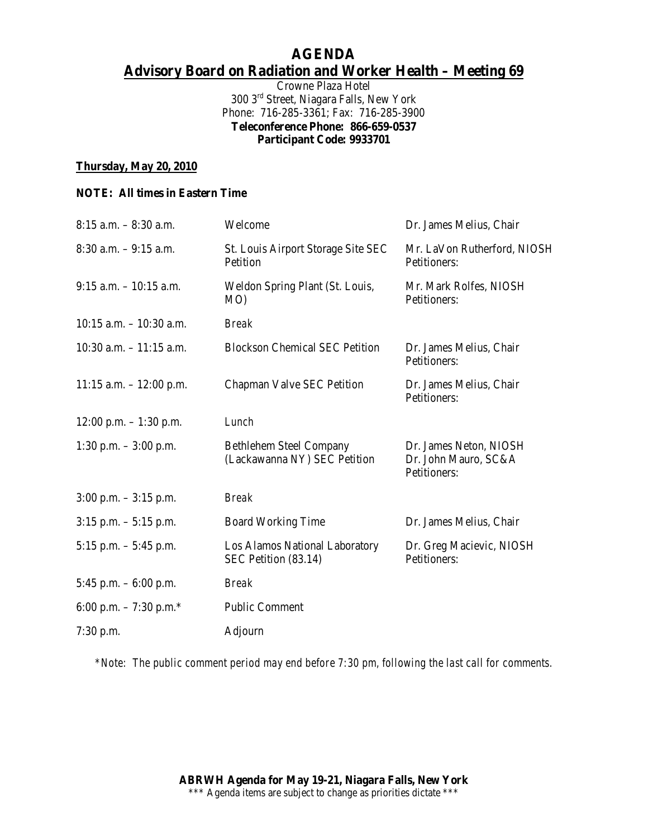# **AGENDA Advisory Board on Radiation and Worker Health – Meeting 69**

Crowne Plaza Hotel 300 3rd Street, Niagara Falls, New York Phone: 716-285-3361; Fax: 716-285-3900 **Teleconference Phone: 866-659-0537 Participant Code: 9933701**

### **Thursday, May 20, 2010**

#### **NOTE: All times in Eastern Time**

| $8:15$ a.m. $-8:30$ a.m.   | Welcome                                                        | Dr. James Melius, Chair                                        |
|----------------------------|----------------------------------------------------------------|----------------------------------------------------------------|
| $8:30$ a.m. $-9:15$ a.m.   | St. Louis Airport Storage Site SEC<br>Petition                 | Mr. LaVon Rutherford, NIOSH<br>Petitioners:                    |
| $9:15$ a.m. $-10:15$ a.m.  | Weldon Spring Plant (St. Louis,<br>MO)                         | Mr. Mark Rolfes, NIOSH<br>Petitioners:                         |
| $10:15$ a.m. $-10:30$ a.m. | <b>Break</b>                                                   |                                                                |
| $10:30$ a.m. $-11:15$ a.m. | <b>Blockson Chemical SEC Petition</b>                          | Dr. James Melius, Chair<br>Petitioners:                        |
| $11:15$ a.m. $-12:00$ p.m. | Chapman Valve SEC Petition                                     | Dr. James Melius, Chair<br>Petitioners:                        |
| $12:00$ p.m. $-1:30$ p.m.  | Lunch                                                          |                                                                |
| 1:30 p.m. $-3:00$ p.m.     | <b>Bethlehem Steel Company</b><br>(Lackawanna NY) SEC Petition | Dr. James Neton, NIOSH<br>Dr. John Mauro, SC&A<br>Petitioners: |
| $3:00$ p.m. $-3:15$ p.m.   | <b>Break</b>                                                   |                                                                |
| $3:15$ p.m. $-5:15$ p.m.   | <b>Board Working Time</b>                                      | Dr. James Melius, Chair                                        |
| $5:15$ p.m. $-5:45$ p.m.   | Los Alamos National Laboratory<br>SEC Petition (83.14)         | Dr. Greg Macievic, NIOSH<br>Petitioners:                       |
| 5:45 p.m. $-6:00$ p.m.     | <b>Break</b>                                                   |                                                                |
| 6:00 p.m. $-7:30$ p.m.*    | <b>Public Comment</b>                                          |                                                                |
| 7:30 p.m.                  | Adjourn                                                        |                                                                |

*\*Note: The public comment period may end before 7:30 pm, following the last call for comments.*

**ABRWH Agenda for May 19-21, Niagara Falls, New York** \*\*\* Agenda items are subject to change as priorities dictate \*\*\*